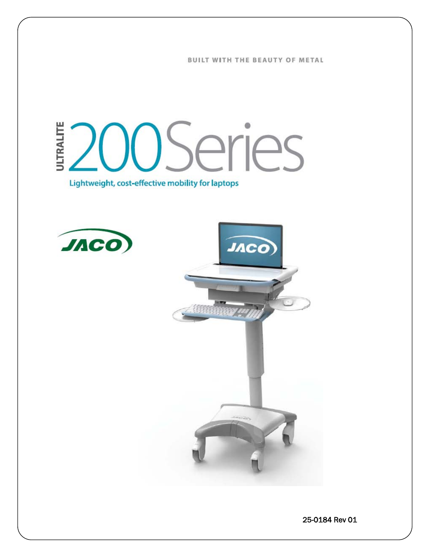BUILT WITH THE BEAUTY OF METAL

# OSeries **JLTRALITE** Lightweight, cost-effective mobility for laptops



25-0184 Rev 01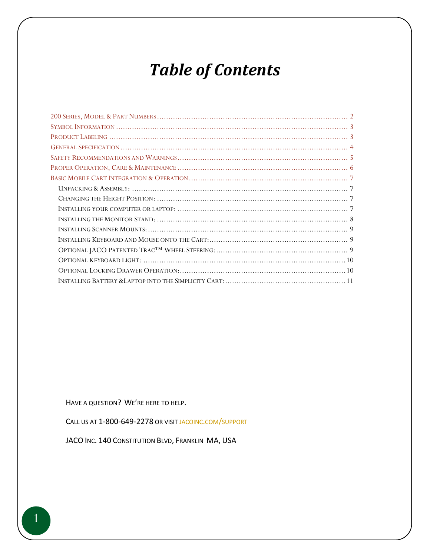# *Table of Contents*

HAVE A QUESTION? WE'RE HERE TO HELP.

CALL US AT 1-800-649-2278 OR VISI[T JACOINC.COM/SUPPORT](http://www.jacoinc.com/support)

JACO INC. 140 CONSTITUTION BLVD, FRANKLIN MA, USA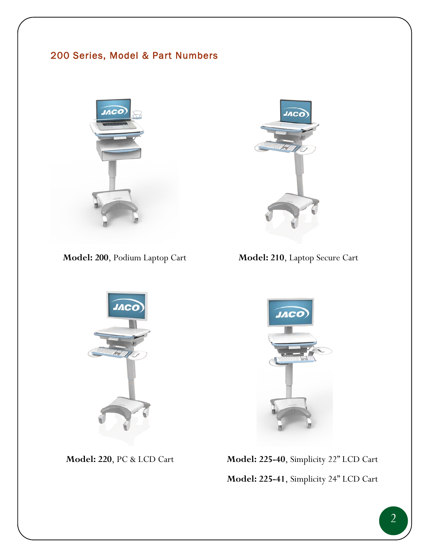# <span id="page-2-0"></span>200 Series, Model & Part Numbers





**Model: 200**, Podium Laptop Cart **Model: 210**, Laptop Secure Cart

JACC

 **Model: 220**, PC & LCD Cart **Model: 225-40**, Simplicity 22" LCD Cart **Model: 225-41**, Simplicity 24" LCD Cart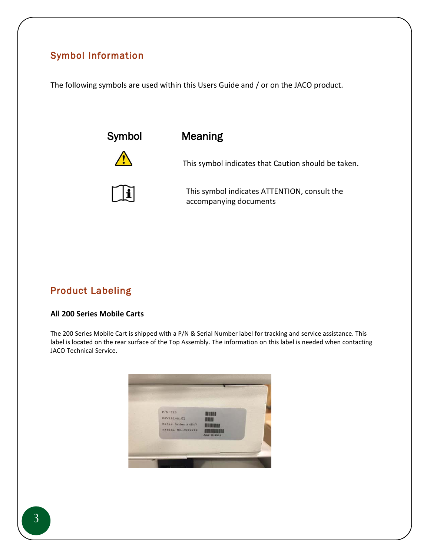# <span id="page-3-0"></span>Symbol Information

The following symbols are used within this Users Guide and / or on the JACO product.



## <span id="page-3-1"></span>Product Labeling

#### **All 200 Series Mobile Carts**

The 200 Series Mobile Cart is shipped with a P/N & Serial Number label for tracking and service assistance. This label is located on the rear surface of the Top Assembly. The information on this label is needed when contacting JACO Technical Service.

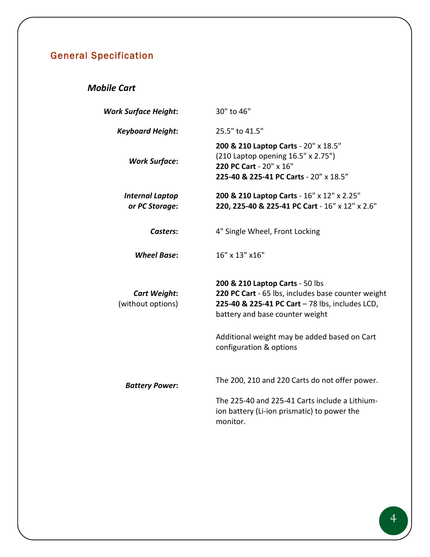# <span id="page-4-0"></span>General Specification

### *Mobile Cart*

| <b>Work Surface Height:</b>              | 30" to 46"                                                                                                                                                                  |
|------------------------------------------|-----------------------------------------------------------------------------------------------------------------------------------------------------------------------------|
| <b>Keyboard Height:</b>                  | 25.5" to 41.5"                                                                                                                                                              |
| <b>Work Surface:</b>                     | 200 & 210 Laptop Carts - 20" x 18.5"<br>(210 Laptop opening 16.5" x 2.75")<br>220 PC Cart - 20" x 16"<br>225-40 & 225-41 PC Carts - 20" x 18.5"                             |
| <b>Internal Laptop</b><br>or PC Storage: | 200 & 210 Laptop Carts - 16" x 12" x 2.25"<br>220, 225-40 & 225-41 PC Cart - 16" x 12" x 2.6"                                                                               |
| Casters:                                 | 4" Single Wheel, Front Locking                                                                                                                                              |
| <b>Wheel Base:</b>                       | 16" x 13" x 16"                                                                                                                                                             |
| <b>Cart Weight:</b><br>(without options) | 200 & 210 Laptop Carts - 50 lbs<br>220 PC Cart - 65 lbs, includes base counter weight<br>225-40 & 225-41 PC Cart - 78 lbs, includes LCD,<br>battery and base counter weight |
|                                          | Additional weight may be added based on Cart<br>configuration & options                                                                                                     |
| <b>Battery Power:</b>                    | The 200, 210 and 220 Carts do not offer power.                                                                                                                              |
|                                          | The 225-40 and 225-41 Carts include a Lithium-<br>ion battery (Li-ion prismatic) to power the<br>monitor.                                                                   |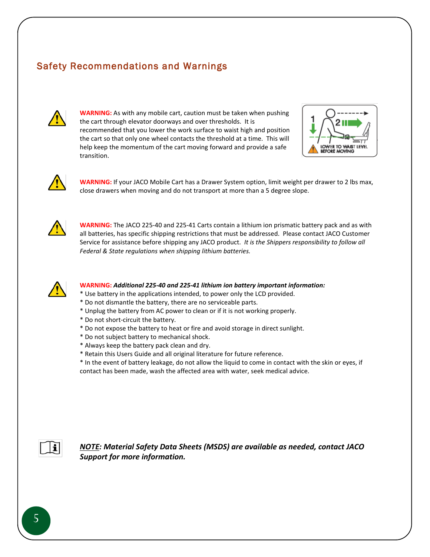# <span id="page-5-0"></span>Safety Recommendations and Warnings



**WARNING:** As with any mobile cart, caution must be taken when pushing the cart through elevator doorways and over thresholds. It is recommended that you lower the work surface to waist high and position the cart so that only one wheel contacts the threshold at a time. This will help keep the momentum of the cart moving forward and provide a safe transition.





**WARNING:** If your JACO Mobile Cart has a Drawer System option, limit weight per drawer to 2 lbs max, close drawers when moving and do not transport at more than a 5 degree slope.



**WARNING:** The JACO 225-40 and 225-41 Carts contain a lithium ion prismatic battery pack and as with all batteries, has specific shipping restrictions that must be addressed. Please contact JACO Customer Service for assistance before shipping any JACO product. *It is the Shippers responsibility to follow all Federal & State regulations when shipping lithium batteries.*



#### **WARNING:** *Additional 225-40 and 225-41 lithium ion battery important information:*

- \* Use battery in the applications intended, to power only the LCD provided.
- \* Do not dismantle the battery, there are no serviceable parts.
- \* Unplug the battery from AC power to clean or if it is not working properly.
- \* Do not short-circuit the battery.
- \* Do not expose the battery to heat or fire and avoid storage in direct sunlight.
- \* Do not subject battery to mechanical shock.
- \* Always keep the battery pack clean and dry.
- \* Retain this Users Guide and all original literature for future reference.

\* In the event of battery leakage, do not allow the liquid to come in contact with the skin or eyes, if contact has been made, wash the affected area with water, seek medical advice.



*NOTE: Material Safety Data Sheets (MSDS) are available as needed, contact JACO Support for more information.*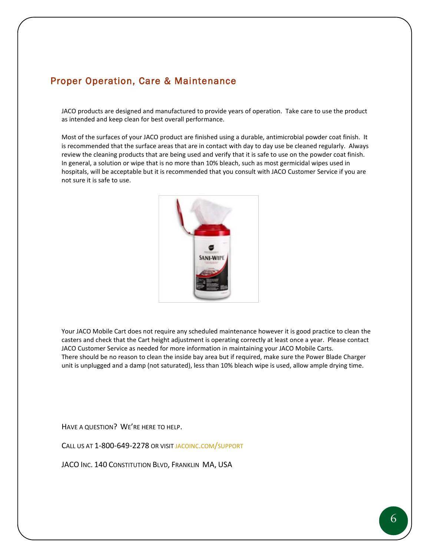### <span id="page-6-0"></span>Proper Operation, Care & Maintenance

JACO products are designed and manufactured to provide years of operation. Take care to use the product as intended and keep clean for best overall performance.

Most of the surfaces of your JACO product are finished using a durable, antimicrobial powder coat finish. It is recommended that the surface areas that are in contact with day to day use be cleaned regularly. Always review the cleaning products that are being used and verify that it is safe to use on the powder coat finish. In general, a solution or wipe that is no more than 10% bleach, such as most germicidal wipes used in hospitals, will be acceptable but it is recommended that you consult with JACO Customer Service if you are not sure it is safe to use.



Your JACO Mobile Cart does not require any scheduled maintenance however it is good practice to clean the casters and check that the Cart height adjustment is operating correctly at least once a year. Please contact JACO Customer Service as needed for more information in maintaining your JACO Mobile Carts. There should be no reason to clean the inside bay area but if required, make sure the Power Blade Charger unit is unplugged and a damp (not saturated), less than 10% bleach wipe is used, allow ample drying time.

HAVE A QUESTION? WE'RE HERE TO HELP.

CALL US AT 1-800-649-2278 OR VISI[T JACOINC.COM/SUPPORT](http://www.jacoinc.com/support)

JACO INC. 140 CONSTITUTION BLVD, FRANKLIN MA, USA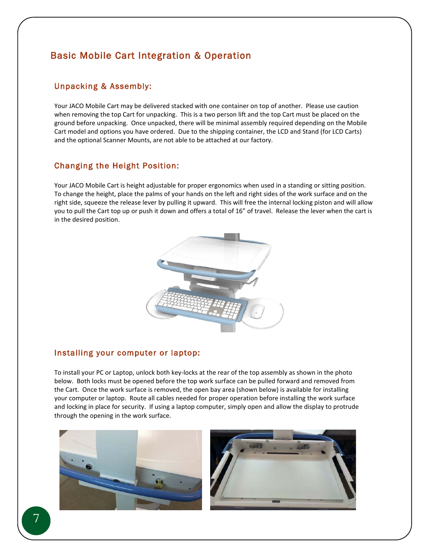# <span id="page-7-0"></span>Basic Mobile Cart Integration & Operation

#### <span id="page-7-1"></span>Unpacking & Assembly:

Your JACO Mobile Cart may be delivered stacked with one container on top of another. Please use caution when removing the top Cart for unpacking. This is a two person lift and the top Cart must be placed on the ground before unpacking. Once unpacked, there will be minimal assembly required depending on the Mobile Cart model and options you have ordered. Due to the shipping container, the LCD and Stand (for LCD Carts) and the optional Scanner Mounts, are not able to be attached at our factory.

#### <span id="page-7-2"></span>Changing the Height Position:

Your JACO Mobile Cart is height adjustable for proper ergonomics when used in a standing or sitting position. To change the height, place the palms of your hands on the left and right sides of the work surface and on the right side, squeeze the release lever by pulling it upward. This will free the internal locking piston and will allow you to pull the Cart top up or push it down and offers a total of 16" of travel. Release the lever when the cart is in the desired position.



#### <span id="page-7-3"></span>Installing your computer or laptop:

To install your PC or Laptop, unlock both key-locks at the rear of the top assembly as shown in the photo below. Both locks must be opened before the top work surface can be pulled forward and removed from the Cart. Once the work surface is removed, the open bay area (shown below) is available for installing your computer or laptop. Route all cables needed for proper operation before installing the work surface and locking in place for security. If using a laptop computer, simply open and allow the display to protrude through the opening in the work surface.



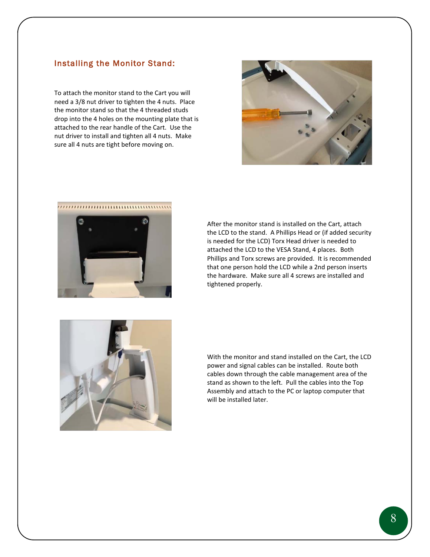#### <span id="page-8-0"></span>Installing the Monitor Stand:

To attach the monitor stand to the Cart you will need a 3/8 nut driver to tighten the 4 nuts. Place the monitor stand so that the 4 threaded studs drop into the 4 holes on the mounting plate that is attached to the rear handle of the Cart. Use the nut driver to install and tighten all 4 nuts. Make sure all 4 nuts are tight before moving on.





After the monitor stand is installed on the Cart, attach the LCD to the stand. A Phillips Head or (if added security is needed for the LCD) Torx Head driver is needed to attached the LCD to the VESA Stand, 4 places. Both Phillips and Torx screws are provided. It is recommended that one person hold the LCD while a 2nd person inserts the hardware. Make sure all 4 screws are installed and tightened properly.



With the monitor and stand installed on the Cart, the LCD power and signal cables can be installed. Route both cables down through the cable management area of the stand as shown to the left. Pull the cables into the Top Assembly and attach to the PC or laptop computer that will be installed later.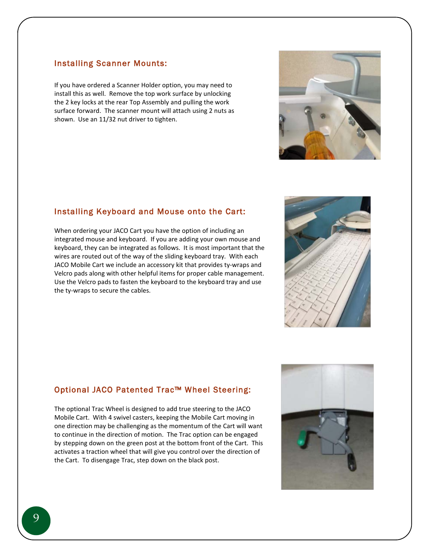#### <span id="page-9-0"></span>Installing Scanner Mounts:

If you have ordered a Scanner Holder option, you may need to install this as well. Remove the top work surface by unlocking the 2 key locks at the rear Top Assembly and pulling the work surface forward. The scanner mount will attach using 2 nuts as shown. Use an 11/32 nut driver to tighten.



#### <span id="page-9-1"></span>Installing Keyboard and Mouse onto the Cart:

When ordering your JACO Cart you have the option of including an integrated mouse and keyboard. If you are adding your own mouse and keyboard, they can be integrated as follows. It is most important that the wires are routed out of the way of the sliding keyboard tray. With each JACO Mobile Cart we include an accessory kit that provides ty-wraps and Velcro pads along with other helpful items for proper cable management. Use the Velcro pads to fasten the keyboard to the keyboard tray and use the ty-wraps to secure the cables.



#### <span id="page-9-2"></span>Optional JACO Patented Trac™ Wheel Steering:

The optional Trac Wheel is designed to add true steering to the JACO Mobile Cart. With 4 swivel casters, keeping the Mobile Cart moving in one direction may be challenging as the momentum of the Cart will want to continue in the direction of motion. The Trac option can be engaged by stepping down on the green post at the bottom front of the Cart. This activates a traction wheel that will give you control over the direction of the Cart. To disengage Trac, step down on the black post.

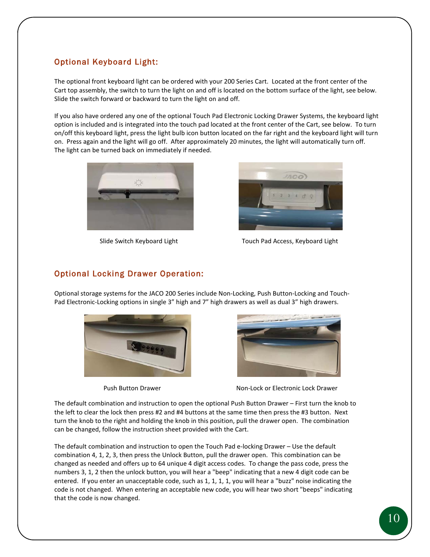#### <span id="page-10-0"></span>Optional Keyboard Light:

The optional front keyboard light can be ordered with your 200 Series Cart. Located at the front center of the Cart top assembly, the switch to turn the light on and off is located on the bottom surface of the light, see below. Slide the switch forward or backward to turn the light on and off.

If you also have ordered any one of the optional Touch Pad Electronic Locking Drawer Systems, the keyboard light option is included and is integrated into the touch pad located at the front center of the Cart, see below. To turn on/off this keyboard light, press the light bulb icon button located on the far right and the keyboard light will turn on. Press again and the light will go off. After approximately 20 minutes, the light will automatically turn off. The light can be turned back on immediately if needed.





Slide Switch Keyboard Light Touch Pad Access, Keyboard Light

#### <span id="page-10-1"></span>Optional Locking Drawer Operation:

Optional storage systems for the JACO 200 Series include Non-Locking, Push Button-Locking and Touch-Pad Electronic-Locking options in single 3" high and 7" high drawers as well as dual 3" high drawers.





Push Button Drawer **Non-Lock or Electronic Lock Drawer** 

The default combination and instruction to open the optional Push Button Drawer – First turn the knob to the left to clear the lock then press #2 and #4 buttons at the same time then press the #3 button. Next turn the knob to the right and holding the knob in this position, pull the drawer open. The combination can be changed, follow the instruction sheet provided with the Cart.

The default combination and instruction to open the Touch Pad e-locking Drawer – Use the default combination 4, 1, 2, 3, then press the Unlock Button, pull the drawer open. This combination can be changed as needed and offers up to 64 unique 4 digit access codes. To change the pass code, press the numbers 3, 1, 2 then the unlock button, you will hear a "beep" indicating that a new 4 digit code can be entered. If you enter an unacceptable code, such as 1, 1, 1, 1, you will hear a "buzz" noise indicating the code is not changed. When entering an acceptable new code, you will hear two short "beeps" indicating that the code is now changed.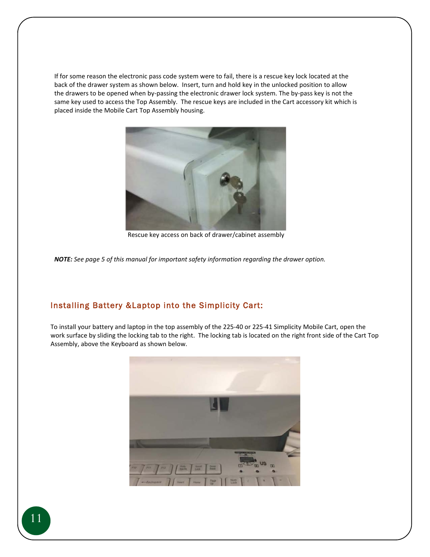If for some reason the electronic pass code system were to fail, there is a rescue key lock located at the back of the drawer system as shown below. Insert, turn and hold key in the unlocked position to allow the drawers to be opened when by-passing the electronic drawer lock system. The by-pass key is not the same key used to access the Top Assembly. The rescue keys are included in the Cart accessory kit which is placed inside the Mobile Cart Top Assembly housing.



Rescue key access on back of drawer/cabinet assembly

*NOTE: See page 5 of this manual for important safety information regarding the drawer option.*

#### <span id="page-11-0"></span>Installing Battery &Laptop into the Simplicity Cart:

To install your battery and laptop in the top assembly of the 225-40 or 225-41 Simplicity Mobile Cart, open the work surface by sliding the locking tab to the right. The locking tab is located on the right front side of the Cart Top Assembly, above the Keyboard as shown below.

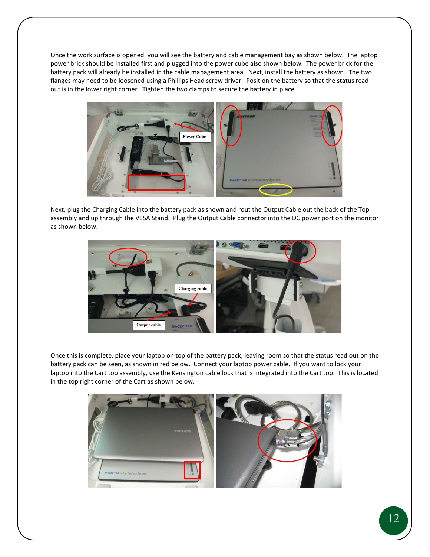Once the work surface is opened, you will see the battery and cable management bay as shown below. The laptop power brick should be installed first and plugged into the power cube also shown below. The power brick for the battery pack will already be installed in the cable management area. Next, install the battery as shown. The two flanges may need to be loosened using a Phillips Head screw driver. Position the battery so that the status read out is in the lower right corner. Tighten the two clamps to secure the battery in place.



Next, plug the Charging Cable into the battery pack as shown and rout the Output Cable out the back of the Top assembly and up through the VESA Stand. Plug the Output Cable connector into the DC power port on the monitor as shown below.



Once this is complete, place your laptop on top of the battery pack, leaving room so that the status read out on the battery pack can be seen, as shown in red below. Connect your laptop power cable. If you want to lock your laptop into the Cart top assembly, use the Kensington cable lock that is integrated into the Cart top. This is located in the top right corner of the Cart as shown below.